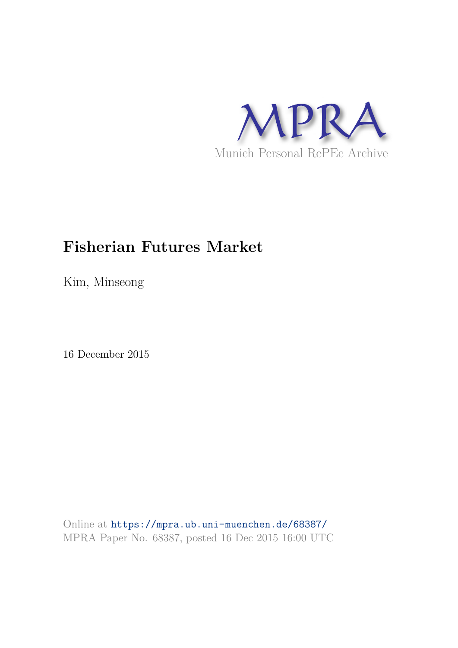

# **Fisherian Futures Market**

Kim, Minseong

16 December 2015

Online at https://mpra.ub.uni-muenchen.de/68387/ MPRA Paper No. 68387, posted 16 Dec 2015 16:00 UTC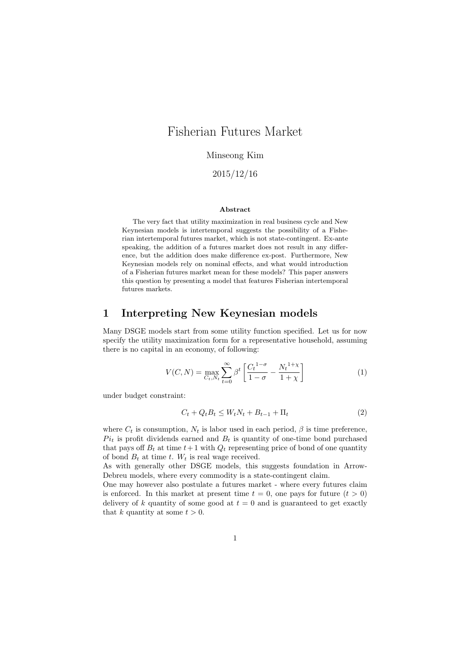# Fisherian Futures Market

Minseong Kim

2015/12/16

#### Abstract

The very fact that utility maximization in real business cycle and New Keynesian models is intertemporal suggests the possibility of a Fisherian intertemporal futures market, which is not state-contingent. Ex-ante speaking, the addition of a futures market does not result in any difference, but the addition does make difference ex-post. Furthermore, New Keynesian models rely on nominal effects, and what would introduction of a Fisherian futures market mean for these models? This paper answers this question by presenting a model that features Fisherian intertemporal futures markets.

### 1 Interpreting New Keynesian models

Many DSGE models start from some utility function specified. Let us for now specify the utility maximization form for a representative household, assuming there is no capital in an economy, of following:

$$
V(C, N) = \max_{C_t, N_t} \sum_{t=0}^{\infty} \beta^t \left[ \frac{C_t^{1-\sigma}}{1-\sigma} - \frac{N_t^{1+\chi}}{1+\chi} \right]
$$
(1)

under budget constraint:

$$
C_t + Q_t B_t \le W_t N_t + B_{t-1} + \Pi_t \tag{2}
$$

where  $C_t$  is consumption,  $N_t$  is labor used in each period,  $\beta$  is time preference.  $Pi_t$  is profit dividends earned and  $B_t$  is quantity of one-time bond purchased that pays off  $B_t$  at time  $t+1$  with  $Q_t$  representing price of bond of one quantity of bond  $B_t$  at time t.  $W_t$  is real wage received.

As with generally other DSGE models, this suggests foundation in Arrow-Debreu models, where every commodity is a state-contingent claim.

One may however also postulate a futures market - where every futures claim is enforced. In this market at present time  $t = 0$ , one pays for future  $(t > 0)$ delivery of k quantity of some good at  $t = 0$  and is guaranteed to get exactly that k quantity at some  $t > 0$ .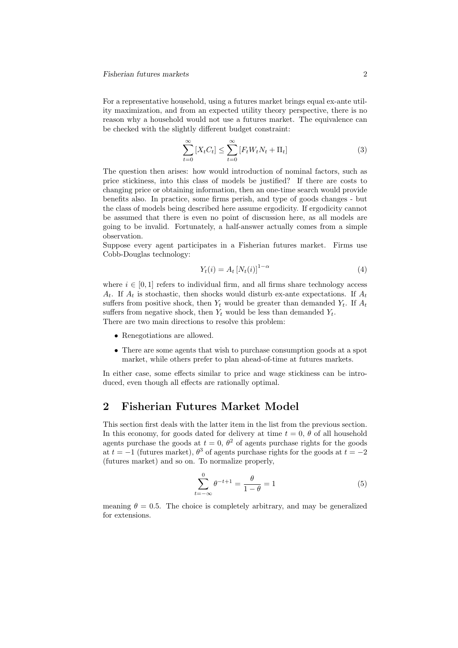For a representative household, using a futures market brings equal ex-ante utility maximization, and from an expected utility theory perspective, there is no reason why a household would not use a futures market. The equivalence can be checked with the slightly different budget constraint:

$$
\sum_{t=0}^{\infty} \left[ X_t C_t \right] \le \sum_{t=0}^{\infty} \left[ F_t W_t N_t + \Pi_t \right] \tag{3}
$$

The question then arises: how would introduction of nominal factors, such as price stickiness, into this class of models be justified? If there are costs to changing price or obtaining information, then an one-time search would provide benefits also. In practice, some firms perish, and type of goods changes - but the class of models being described here assume ergodicity. If ergodicity cannot be assumed that there is even no point of discussion here, as all models are going to be invalid. Fortunately, a half-answer actually comes from a simple observation.

Suppose every agent participates in a Fisherian futures market. Firms use Cobb-Douglas technology:

$$
Y_t(i) = A_t \left[ N_t(i) \right]^{1-\alpha} \tag{4}
$$

where  $i \in [0, 1]$  refers to individual firm, and all firms share technology access  $A_t$ . If  $A_t$  is stochastic, then shocks would disturb ex-ante expectations. If  $A_t$ suffers from positive shock, then  $Y_t$  would be greater than demanded  $Y_t$ . If  $A_t$ suffers from negative shock, then  $Y_t$  would be less than demanded  $Y_t$ . There are two main directions to resolve this problem:

- Renegotiations are allowed.
- There are some agents that wish to purchase consumption goods at a spot market, while others prefer to plan ahead-of-time at futures markets.

In either case, some effects similar to price and wage stickiness can be introduced, even though all effects are rationally optimal.

## 2 Fisherian Futures Market Model

This section first deals with the latter item in the list from the previous section. In this economy, for goods dated for delivery at time  $t = 0$ ,  $\theta$  of all household agents purchase the goods at  $t = 0$ ,  $\theta^2$  of agents purchase rights for the goods at  $t = -1$  (futures market),  $\theta^3$  of agents purchase rights for the goods at  $t = -2$ (futures market) and so on. To normalize properly,

$$
\sum_{t=-\infty}^{0} \theta^{-t+1} = \frac{\theta}{1-\theta} = 1\tag{5}
$$

meaning  $\theta = 0.5$ . The choice is completely arbitrary, and may be generalized for extensions.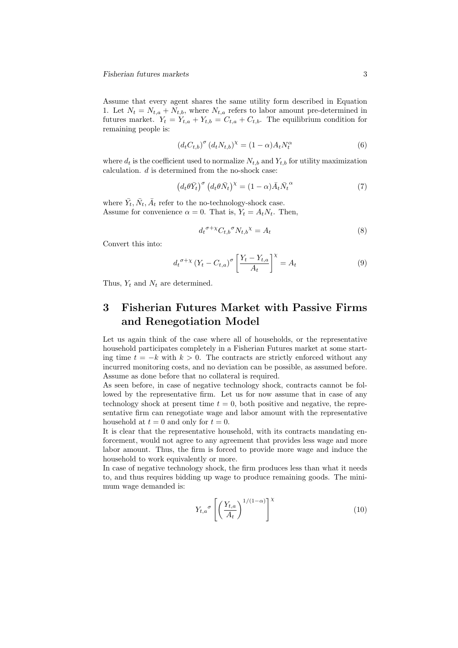Assume that every agent shares the same utility form described in Equation 1. Let  $N_t = N_{t,a} + N_{t,b}$ , where  $N_{t,a}$  refers to labor amount pre-determined in futures market.  $Y_t = Y_{t,a} + Y_{t,b} = C_{t,a} + C_{t,b}$ . The equilibrium condition for remaining people is:

$$
\left(d_t C_{t,b}\right)^{\sigma} \left(d_t N_{t,b}\right)^{\chi} = (1 - \alpha) A_t N_t^{\alpha} \tag{6}
$$

where  $d_t$  is the coefficient used to normalize  $N_{t,b}$  and  $Y_{t,b}$  for utility maximization calculation. d is determined from the no-shock case:

$$
\left(d_t\theta\bar{Y}_t\right)^\sigma \left(d_t\theta\bar{N}_t\right)^\chi = (1-\alpha)\bar{A}_t\bar{N}_t^\alpha \tag{7}
$$

where  $\bar{Y}_t, \bar{N}_t, \bar{A}_t$  refer to the no-technology-shock case. Assume for convenience  $\alpha = 0$ . That is,  $Y_t = A_t N_t$ . Then,

$$
d_t^{\sigma + \chi} C_{t,b}{}^{\sigma} N_{t,b}{}^{\chi} = A_t \tag{8}
$$

Convert this into:

$$
d_t^{\sigma+\chi} \left(Y_t - C_{t,a}\right)^{\sigma} \left[\frac{Y_t - Y_{t,a}}{A_t}\right]^{\chi} = A_t \tag{9}
$$

Thus,  $Y_t$  and  $N_t$  are determined.

# 3 Fisherian Futures Market with Passive Firms and Renegotiation Model

Let us again think of the case where all of households, or the representative household participates completely in a Fisherian Futures market at some starting time  $t = -k$  with  $k > 0$ . The contracts are strictly enforced without any incurred monitoring costs, and no deviation can be possible, as assumed before. Assume as done before that no collateral is required.

As seen before, in case of negative technology shock, contracts cannot be followed by the representative firm. Let us for now assume that in case of any technology shock at present time  $t = 0$ , both positive and negative, the representative firm can renegotiate wage and labor amount with the representative household at  $t = 0$  and only for  $t = 0$ .

It is clear that the representative household, with its contracts mandating enforcement, would not agree to any agreement that provides less wage and more labor amount. Thus, the firm is forced to provide more wage and induce the household to work equivalently or more.

In case of negative technology shock, the firm produces less than what it needs to, and thus requires bidding up wage to produce remaining goods. The minimum wage demanded is:

$$
Y_{t,a}^{\sigma} \left[ \left( \frac{Y_{t,a}}{A_t} \right)^{1/(1-\alpha)} \right]^{\chi} \tag{10}
$$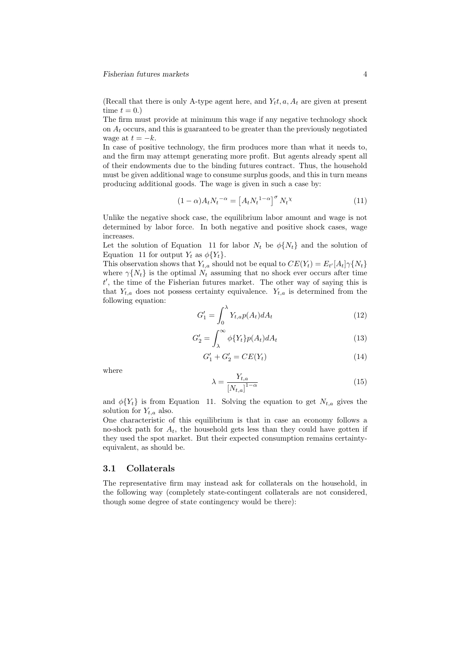(Recall that there is only A-type agent here, and  $Y_t t$ ,  $a, A_t$  are given at present time  $t = 0.$ 

The firm must provide at minimum this wage if any negative technology shock on  $A_t$  occurs, and this is guaranteed to be greater than the previously negotiated wage at  $t = -k$ .

In case of positive technology, the firm produces more than what it needs to, and the firm may attempt generating more profit. But agents already spent all of their endowments due to the binding futures contract. Thus, the household must be given additional wage to consume surplus goods, and this in turn means producing additional goods. The wage is given in such a case by:

$$
(1 - \alpha)A_t N_t^{-\alpha} = \left[A_t N_t^{1 - \alpha}\right]^\sigma N_t^{\chi} \tag{11}
$$

Unlike the negative shock case, the equilibrium labor amount and wage is not determined by labor force. In both negative and positive shock cases, wage increases.

Let the solution of Equation 11 for labor  $N_t$  be  $\phi\{N_t\}$  and the solution of Equation 11 for output  $Y_t$  as  $\phi\{Y_t\}$ .

This observation shows that  $Y_{t,a}$  should not be equal to  $CE(Y_t) = E_{t'}[A_t] \gamma \{N_t\}$ where  $\gamma\{N_t\}$  is the optimal  $N_t$  assuming that no shock ever occurs after time t ′ , the time of the Fisherian futures market. The other way of saying this is that  $Y_{t,a}$  does not possess certainty equivalence.  $Y_{t,a}$  is determined from the following equation:

$$
G_1' = \int_0^\lambda Y_{t,a} p(A_t) dA_t \tag{12}
$$

$$
G_2' = \int_{\lambda}^{\infty} \phi\{Y_t\} p(A_t) dA_t \tag{13}
$$

$$
G_1' + G_2' = CE(Y_t)
$$
\n(14)

where

$$
\lambda = \frac{Y_{t,a}}{\left[N_{t,a}\right]^{1-\alpha}}\tag{15}
$$

and  $\phi\{Y_t\}$  is from Equation 11. Solving the equation to get  $N_{t,a}$  gives the solution for  $Y_{t,a}$  also.

One characteristic of this equilibrium is that in case an economy follows a no-shock path for  $A_t$ , the household gets less than they could have gotten if they used the spot market. But their expected consumption remains certaintyequivalent, as should be.

#### 3.1 Collaterals

The representative firm may instead ask for collaterals on the household, in the following way (completely state-contingent collaterals are not considered, though some degree of state contingency would be there):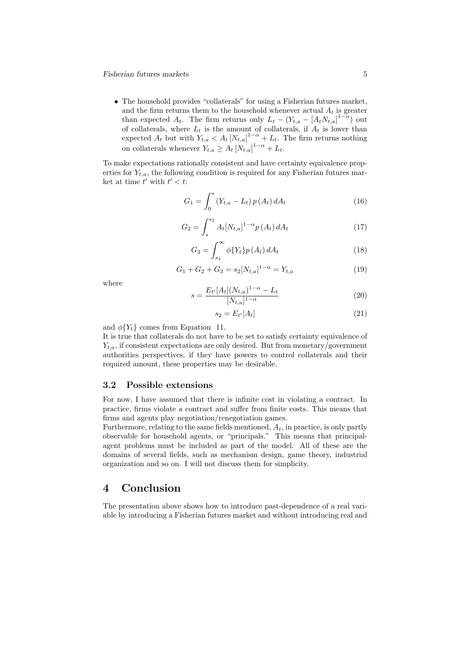• The household provides "collaterals" for using a Fisherian futures market, and the firm returns them to the household whenever actual  $A_t$  is greater than expected  $A_t$ . The firm returns only  $L_t - (Y_{t,a} - [A_t N_{t,a}]^{1-\alpha})$  out of collaterals, where  $L_t$  is the amount of collaterals, if  $A_t$  is lower than expected  $A_t$  but with  $Y_{t,a} < A_t [N_{t,a}]^{1-\alpha} + L_t$ . The firm returns nothing on collaterals whenever  $Y_{t,a} \geq A_t [N_{t,a}]^{1-\alpha} + L_t$ .

To make expectations rationally consistent and have certainty equivalence properties for  $Y_{t,a}$ , the following condition is required for any Fisherian futures market at time  $t'$  with  $t' < t$ :

$$
G_1 = \int_0^s (Y_{t,a} - L_t) p(A_t) dA_t \tag{16}
$$

$$
G_2 = \int_s^{s_2} A_t [N_{t,a}]^{1-\alpha} p(A_t) dA_t
$$
 (17)

$$
G_3 = \int_{s_2}^{\infty} \phi\{Y_t\} p\left(A_t\right) dA_t \tag{18}
$$

$$
G_1 + G_2 + G_3 = s_2[N_{t,a}]^{1-\alpha} = Y_{t,a}
$$
\n(19)

where

$$
s = \frac{E_{t'}[A_t](N_{t,a})^{1-\alpha} - L_t}{[N_{t,a}]^{1-\alpha}} \tag{20}
$$

$$
s_2 = E_{t'}[A_t] \tag{21}
$$

and  $\phi\{Y_t\}$  comes from Equation 11.

It is true that collaterals do not have to be set to satisfy certainty equivalence of  $Y_{t,a}$ , if consistent expectations are only desired. But from monetary/government authorities perspectives, if they have powers to control collaterals and their required amount, these properties may be desirable.

#### 3.2 Possible extensions

For now, I have assumed that there is infinite cost in violating a contract. In practice, firms violate a contract and suffer from finite costs. This means that firms and agents play negotiation/renegotiation games.

Furthermore, relating to the same fields mentioned,  $A_t$ , in practice, is only partly observable for household agents, or "principals." This means that principalagent problems must be included as part of the model. All of these are the domains of several fields, such as mechanism design, game theory, industrial organization and so on. I will not discuss them for simplicity.

## 4 Conclusion

The presentation above shows how to introduce past-dependence of a real variable by introducing a Fisherian futures market and without introducing real and